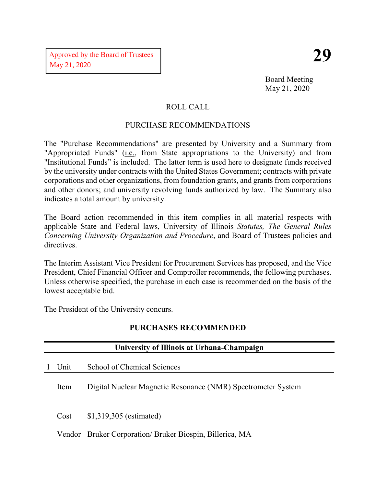Board Meeting May 21, 2020

# ROLL CALL

# PURCHASE RECOMMENDATIONS

The "Purchase Recommendations" are presented by University and a Summary from "Appropriated Funds" (i.e., from State appropriations to the University) and from "Institutional Funds" is included. The latter term is used here to designate funds received by the university under contracts with the United States Government; contracts with private corporations and other organizations, from foundation grants, and grants from corporations and other donors; and university revolving funds authorized by law. The Summary also indicates a total amount by university.

The Board action recommended in this item complies in all material respects with applicable State and Federal laws, University of Illinois *Statutes, The General Rules Concerning University Organization and Procedure*, and Board of Trustees policies and directives.

The Interim Assistant Vice President for Procurement Services has proposed, and the Vice President, Chief Financial Officer and Comptroller recommends, the following purchases. Unless otherwise specified, the purchase in each case is recommended on the basis of the lowest acceptable bid.

The President of the University concurs.

|  | <b>PURCHASES RECOMMENDED</b> |  |
|--|------------------------------|--|
|  |                              |  |

| University of Illinois at Urbana-Champaign |                                                              |  |  |
|--------------------------------------------|--------------------------------------------------------------|--|--|
| Unit                                       | School of Chemical Sciences                                  |  |  |
| Item                                       | Digital Nuclear Magnetic Resonance (NMR) Spectrometer System |  |  |
| Cost                                       | $$1,319,305$ (estimated)                                     |  |  |
|                                            | Vendor Bruker Corporation/Bruker Biospin, Billerica, MA      |  |  |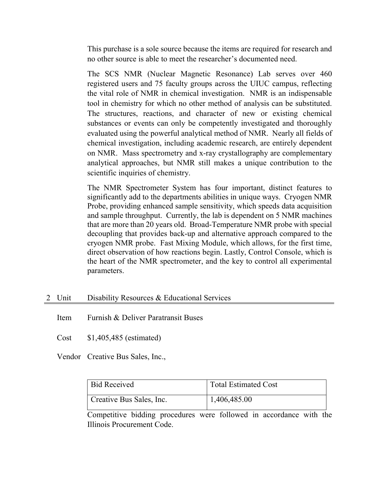This purchase is a sole source because the items are required for research and no other source is able to meet the researcher's documented need.

The SCS NMR (Nuclear Magnetic Resonance) Lab serves over 460 registered users and 75 faculty groups across the UIUC campus, reflecting the vital role of NMR in chemical investigation. NMR is an indispensable tool in chemistry for which no other method of analysis can be substituted. The structures, reactions, and character of new or existing chemical substances or events can only be competently investigated and thoroughly evaluated using the powerful analytical method of NMR. Nearly all fields of chemical investigation, including academic research, are entirely dependent on NMR. Mass spectrometry and x-ray crystallography are complementary analytical approaches, but NMR still makes a unique contribution to the scientific inquiries of chemistry.

The NMR Spectrometer System has four important, distinct features to significantly add to the departments abilities in unique ways. Cryogen NMR Probe, providing enhanced sample sensitivity, which speeds data acquisition and sample throughput. Currently, the lab is dependent on 5 NMR machines that are more than 20 years old. Broad-Temperature NMR probe with special decoupling that provides back-up and alternative approach compared to the cryogen NMR probe. Fast Mixing Module, which allows, for the first time, direct observation of how reactions begin. Lastly, Control Console, which is the heart of the NMR spectrometer, and the key to control all experimental parameters.

## 2 Unit Disability Resources & Educational Services

Item Furnish & Deliver Paratransit Buses

Cost \$1,405,485 (estimated)

Vendor Creative Bus Sales, Inc.,

| <b>Bid Received</b>      | <b>Total Estimated Cost</b> |
|--------------------------|-----------------------------|
| Creative Bus Sales, Inc. | 1,406,485.00                |

Competitive bidding procedures were followed in accordance with the Illinois Procurement Code.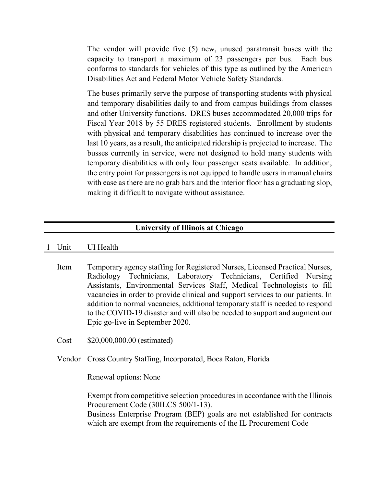The vendor will provide five (5) new, unused paratransit buses with the capacity to transport a maximum of 23 passengers per bus. Each bus conforms to standards for vehicles of this type as outlined by the American Disabilities Act and Federal Motor Vehicle Safety Standards.

The buses primarily serve the purpose of transporting students with physical and temporary disabilities daily to and from campus buildings from classes and other University functions. DRES buses accommodated 20,000 trips for Fiscal Year 2018 by 55 DRES registered students. Enrollment by students with physical and temporary disabilities has continued to increase over the last 10 years, as a result, the anticipated ridership is projected to increase. The busses currently in service, were not designed to hold many students with temporary disabilities with only four passenger seats available. In addition, the entry point for passengers is not equipped to handle users in manual chairs with ease as there are no grab bars and the interior floor has a graduating slop, making it difficult to navigate without assistance.

### **University of Illinois at Chicago**

#### 1 Unit UI Health

Item Temporary agency staffing for Registered Nurses, Licensed Practical Nurses, Radiology Technicians, Laboratory Technicians, Certified Nursing Assistants, Environmental Services Staff, Medical Technologists to fill vacancies in order to provide clinical and support services to our patients. In addition to normal vacancies, additional temporary staff is needed to respond to the COVID-19 disaster and will also be needed to support and augment our Epic go-live in September 2020.

Cost \$20,000,000.00 (estimated)

Vendor Cross Country Staffing, Incorporated, Boca Raton, Florida

#### Renewal options: None

Exempt from competitive selection procedures in accordance with the Illinois Procurement Code (30ILCS 500/1-13).

Business Enterprise Program (BEP) goals are not established for contracts which are exempt from the requirements of the IL Procurement Code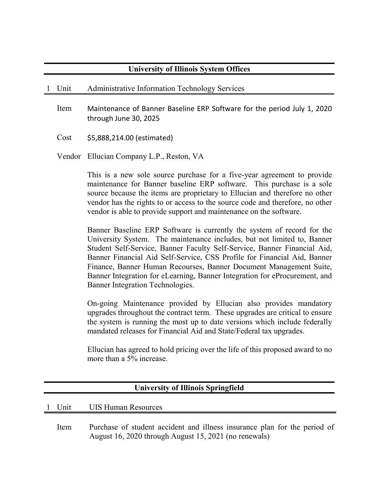# **University of Illinois System Offices**

#### 1 Unit Administrative Information Technology Services

Item Maintenance of Banner Baseline ERP Software for the period July 1, 2020 through June 30, 2025

Cost \$5,888,214.00 (estimated)

Vendor Ellucian Company L.P., Reston, VA

This is a new sole source purchase for a five-year agreement to provide maintenance for Banner baseline ERP software. This purchase is a sole source because the items are proprietary to Ellucian and therefore no other vendor has the rights to or access to the source code and therefore, no other vendor is able to provide support and maintenance on the software.

Banner Baseline ERP Software is currently the system of record for the University System. The maintenance includes, but not limited to, Banner Student Self-Service, Banner Faculty Self-Service, Banner Financial Aid, Banner Financial Aid Self-Service, CSS Profile for Financial Aid, Banner Finance, Banner Human Recourses, Banner Document Management Suite, Banner Integration for eLearning, Banner Integration for eProcurement, and Banner Integration Technologies.

On-going Maintenance provided by Ellucian also provides mandatory upgrades throughout the contract term. These upgrades are critical to ensure the system is running the most up to date versions which include federally mandated releases for Financial Aid and State/Federal tax upgrades.

Ellucian has agreed to hold pricing over the life of this proposed award to no more than a 5% increase.

| <b>University of Illinois Springfield</b> |      |                                                                                                                                    |  |
|-------------------------------------------|------|------------------------------------------------------------------------------------------------------------------------------------|--|
|                                           |      | 1 Unit UIS Human Resources                                                                                                         |  |
|                                           | Item | Purchase of student accident and illness insurance plan for the period of<br>August 16, 2020 through August 15, 2021 (no renewals) |  |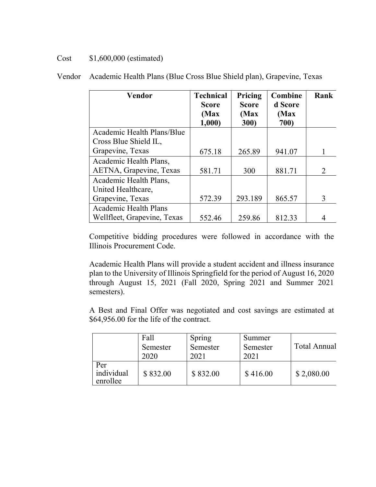# Cost \$1,600,000 (estimated)

| <b>Vendor</b>                | <b>Technical</b><br><b>Score</b><br>(Max) | Pricing<br><b>Score</b><br>(Max) | Combine<br>d Score<br>(Max | Rank                  |
|------------------------------|-------------------------------------------|----------------------------------|----------------------------|-----------------------|
|                              | 1,000                                     | 300)                             | 700)                       |                       |
| Academic Health Plans/Blue   |                                           |                                  |                            |                       |
| Cross Blue Shield IL,        |                                           |                                  |                            |                       |
| Grapevine, Texas             | 675.18                                    | 265.89                           | 941.07                     |                       |
| Academic Health Plans,       |                                           |                                  |                            |                       |
| AETNA, Grapevine, Texas      | 581.71                                    | 300                              | 881.71                     | $\mathcal{D}_{\cdot}$ |
| Academic Health Plans,       |                                           |                                  |                            |                       |
| United Healthcare,           |                                           |                                  |                            |                       |
| Grapevine, Texas             | 572.39                                    | 293.189                          | 865.57                     | 3                     |
| <b>Academic Health Plans</b> |                                           |                                  |                            |                       |
| Wellfleet, Grapevine, Texas  | 552.46                                    | 259.86                           | 812.33                     |                       |

Vendor Academic Health Plans (Blue Cross Blue Shield plan), Grapevine, Texas

Competitive bidding procedures were followed in accordance with the Illinois Procurement Code.

Academic Health Plans will provide a student accident and illness insurance plan to the University of Illinois Springfield for the period of August 16, 2020 through August 15, 2021 (Fall 2020, Spring 2021 and Summer 2021 semesters).

A Best and Final Offer was negotiated and cost savings are estimated at \$64,956.00 for the life of the contract.

|                               | Fall<br>Semester<br>2020 | Spring<br>Semester<br>2021 | Summer<br>Semester<br>2021 | <b>Total Annual</b> |
|-------------------------------|--------------------------|----------------------------|----------------------------|---------------------|
| Per<br>individual<br>enrollee | \$832.00                 | \$832.00                   | \$416.00                   | \$2,080.00          |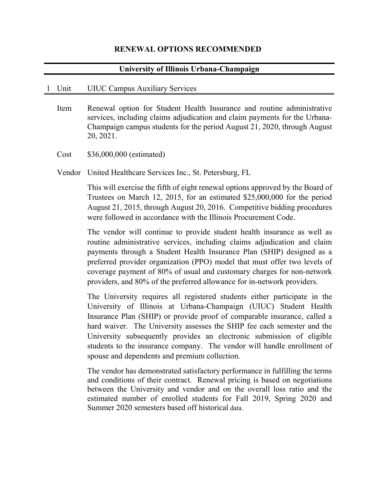#### **RENEWAL OPTIONS RECOMMENDED**

### **University of Illinois Urbana-Champaign**

#### 1 Unit UIUC Campus Auxiliary Services

- Item Renewal option for Student Health Insurance and routine administrative services, including claims adjudication and claim payments for the Urbana-Champaign campus students for the period August 21, 2020, through August 20, 2021.
- Cost \$36,000,000 (estimated)

Vendor United Healthcare Services Inc., St. Petersburg, FL

This will exercise the fifth of eight renewal options approved by the Board of Trustees on March 12, 2015, for an estimated \$25,000,000 for the period August 21, 2015, through August 20, 2016. Competitive bidding procedures were followed in accordance with the Illinois Procurement Code.

The vendor will continue to provide student health insurance as well as routine administrative services, including claims adjudication and claim payments through a Student Health Insurance Plan (SHIP) designed as a preferred provider organization (PPO) model that must offer two levels of coverage payment of 80% of usual and customary charges for non-network providers, and 80% of the preferred allowance for in-network providers.

The University requires all registered students either participate in the University of Illinois at Urbana-Champaign (UIUC) Student Health Insurance Plan (SHIP) or provide proof of comparable insurance, called a hard waiver. The University assesses the SHIP fee each semester and the University subsequently provides an electronic submission of eligible students to the insurance company. The vendor will handle enrollment of spouse and dependents and premium collection.

The vendor has demonstrated satisfactory performance in fulfilling the terms and conditions of their contract. Renewal pricing is based on negotiations between the University and vendor and on the overall loss ratio and the estimated number of enrolled students for Fall 2019, Spring 2020 and Summer 2020 semesters based off historical data.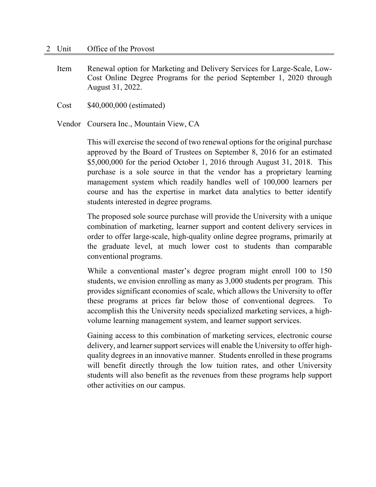Item Renewal option for Marketing and Delivery Services for Large-Scale, Low-Cost Online Degree Programs for the period September 1, 2020 through August 31, 2022.

Cost \$40,000,000 (estimated)

Vendor Coursera Inc., Mountain View, CA

This will exercise the second of two renewal options for the original purchase approved by the Board of Trustees on September 8, 2016 for an estimated \$5,000,000 for the period October 1, 2016 through August 31, 2018. This purchase is a sole source in that the vendor has a proprietary learning management system which readily handles well of 100,000 learners per course and has the expertise in market data analytics to better identify students interested in degree programs.

The proposed sole source purchase will provide the University with a unique combination of marketing, learner support and content delivery services in order to offer large-scale, high-quality online degree programs, primarily at the graduate level, at much lower cost to students than comparable conventional programs.

While a conventional master's degree program might enroll 100 to 150 students, we envision enrolling as many as 3,000 students per program. This provides significant economies of scale, which allows the University to offer these programs at prices far below those of conventional degrees. To accomplish this the University needs specialized marketing services, a highvolume learning management system, and learner support services.

Gaining access to this combination of marketing services, electronic course delivery, and learner support services will enable the University to offer highquality degrees in an innovative manner. Students enrolled in these programs will benefit directly through the low tuition rates, and other University students will also benefit as the revenues from these programs help support other activities on our campus.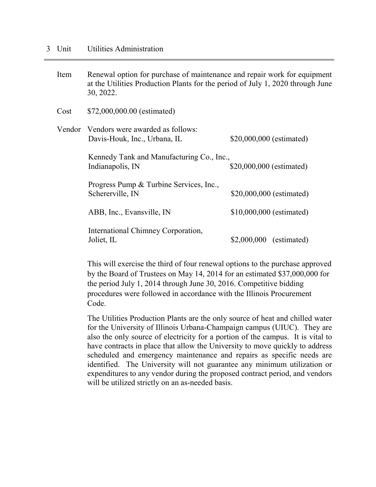| Item | Renewal option for purchase of maintenance and repair work for equipment<br>at the Utilities Production Plants for the period of July 1, 2020 through June<br>30, 2022. |                          |  |
|------|-------------------------------------------------------------------------------------------------------------------------------------------------------------------------|--------------------------|--|
| Cost | \$72,000,000.00 (estimated)                                                                                                                                             |                          |  |
|      | Vendor Vendors were awarded as follows:<br>Davis-Houk, Inc., Urbana, IL                                                                                                 | \$20,000,000 (estimated) |  |
|      | Kennedy Tank and Manufacturing Co., Inc.,<br>Indianapolis, IN                                                                                                           | \$20,000,000 (estimated) |  |
|      | Progress Pump & Turbine Services, Inc.,<br>Schererville, IN                                                                                                             | \$20,000,000 (estimated) |  |
|      | ABB, Inc., Evansville, IN                                                                                                                                               | \$10,000,000 (estimated) |  |
|      | International Chimney Corporation,<br>Joliet, IL                                                                                                                        | $$2,000,000$ (estimated) |  |

This will exercise the third of four renewal options to the purchase approved by the Board of Trustees on May 14, 2014 for an estimated \$37,000,000 for the period July 1, 2014 through June 30, 2016. Competitive bidding procedures were followed in accordance with the Illinois Procurement Code.

The Utilities Production Plants are the only source of heat and chilled water for the University of Illinois Urbana-Champaign campus (UIUC). They are also the only source of electricity for a portion of the campus. It is vital to have contracts in place that allow the University to move quickly to address scheduled and emergency maintenance and repairs as specific needs are identified. The University will not guarantee any minimum utilization or expenditures to any vendor during the proposed contract period, and vendors will be utilized strictly on an as-needed basis.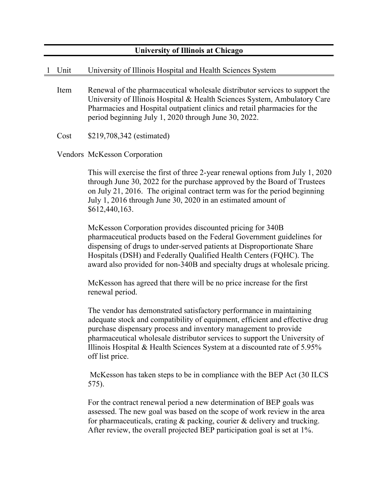# **University of Illinois at Chicago**

## 1 Unit University of Illinois Hospital and Health Sciences System

Item Renewal of the pharmaceutical wholesale distributor services to support the University of Illinois Hospital & Health Sciences System, Ambulatory Care Pharmacies and Hospital outpatient clinics and retail pharmacies for the period beginning July 1, 2020 through June 30, 2022.

Cost \$219,708,342 (estimated)

Vendors McKesson Corporation

This will exercise the first of three 2-year renewal options from July 1, 2020 through June 30, 2022 for the purchase approved by the Board of Trustees on July 21, 2016. The original contract term was for the period beginning July 1, 2016 through June 30, 2020 in an estimated amount of \$612,440,163.

McKesson Corporation provides discounted pricing for 340B pharmaceutical products based on the Federal Government guidelines for dispensing of drugs to under-served patients at Disproportionate Share Hospitals (DSH) and Federally Qualified Health Centers (FQHC). The award also provided for non-340B and specialty drugs at wholesale pricing.

McKesson has agreed that there will be no price increase for the first renewal period.

The vendor has demonstrated satisfactory performance in maintaining adequate stock and compatibility of equipment, efficient and effective drug purchase dispensary process and inventory management to provide pharmaceutical wholesale distributor services to support the University of Illinois Hospital  $&$  Health Sciences System at a discounted rate of 5.95% off list price.

McKesson has taken steps to be in compliance with the BEP Act (30 ILCS 575).

For the contract renewal period a new determination of BEP goals was assessed. The new goal was based on the scope of work review in the area for pharmaceuticals, crating & packing, courier & delivery and trucking. After review, the overall projected BEP participation goal is set at 1%.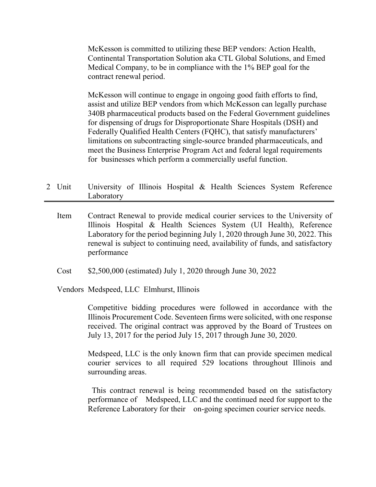McKesson is committed to utilizing these BEP vendors: Action Health, Continental Transportation Solution aka CTL Global Solutions, and Emed Medical Company, to be in compliance with the 1% BEP goal for the contract renewal period.

McKesson will continue to engage in ongoing good faith efforts to find, assist and utilize BEP vendors from which McKesson can legally purchase 340B pharmaceutical products based on the Federal Government guidelines for dispensing of drugs for Disproportionate Share Hospitals (DSH) and Federally Qualified Health Centers (FQHC), that satisfy manufacturers' limitations on subcontracting single-source branded pharmaceuticals, and meet the Business Enterprise Program Act and federal legal requirements for businesses which perform a commercially useful function.

- 2 Unit University of Illinois Hospital & Health Sciences System Reference Laboratory
	- Item Contract Renewal to provide medical courier services to the University of Illinois Hospital & Health Sciences System (UI Health), Reference Laboratory for the period beginning July 1, 2020 through June 30, 2022. This renewal is subject to continuing need, availability of funds, and satisfactory performance

Cost \$2,500,000 (estimated) July 1, 2020 through June 30, 2022

Vendors Medspeed, LLC Elmhurst, Illinois

Competitive bidding procedures were followed in accordance with the Illinois Procurement Code. Seventeen firms were solicited, with one response received. The original contract was approved by the Board of Trustees on July 13, 2017 for the period July 15, 2017 through June 30, 2020.

Medspeed, LLC is the only known firm that can provide specimen medical courier services to all required 529 locations throughout Illinois and surrounding areas.

 This contract renewal is being recommended based on the satisfactory performance of Medspeed, LLC and the continued need for support to the Reference Laboratory for their on-going specimen courier service needs.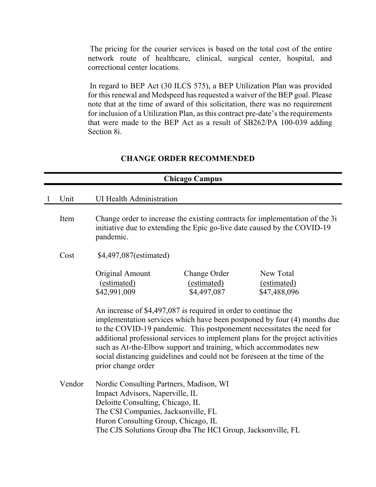The pricing for the courier services is based on the total cost of the entire network route of healthcare, clinical, surgical center, hospital, and correctional center locations.

In regard to BEP Act (30 ILCS 575), a BEP Utilization Plan was provided for this renewal and Medspeed has requested a waiver of the BEP goal. Please note that at the time of award of this solicitation, there was no requirement for inclusion of a Utilization Plan, as this contract pre-date's the requirements that were made to the BEP Act as a result of SB262/PA 100-039 adding Section 8i.

## **CHANGE ORDER RECOMMENDED**

|              | <b>Chicago Campus</b> |                                                                                                                                                                                                                                                                                                                                                                                                                                                                                |  |  |
|--------------|-----------------------|--------------------------------------------------------------------------------------------------------------------------------------------------------------------------------------------------------------------------------------------------------------------------------------------------------------------------------------------------------------------------------------------------------------------------------------------------------------------------------|--|--|
| $\mathbf{1}$ | Unit                  | <b>UI Health Administration</b>                                                                                                                                                                                                                                                                                                                                                                                                                                                |  |  |
|              | Item                  | Change order to increase the existing contracts for implementation of the 3i<br>initiative due to extending the Epic go-live date caused by the COVID-19<br>pandemic.                                                                                                                                                                                                                                                                                                          |  |  |
|              | Cost                  | \$4,497,087(estimated)                                                                                                                                                                                                                                                                                                                                                                                                                                                         |  |  |
|              |                       | New Total<br>Original Amount<br>Change Order<br>(estimated)<br>(estimated)<br>(estimated)<br>\$4,497,087<br>\$42,991,009<br>\$47,488,096                                                                                                                                                                                                                                                                                                                                       |  |  |
|              |                       | An increase of \$4,497,087 is required in order to continue the<br>implementation services which have been postponed by four (4) months due<br>to the COVID-19 pandemic. This postponement necessitates the need for<br>additional professional services to implement plans for the project activities<br>such as At-the-Elbow support and training, which accommodates new<br>social distancing guidelines and could not be foreseen at the time of the<br>prior change order |  |  |
|              | Vendor                | Nordic Consulting Partners, Madison, WI<br>Impact Advisors, Naperville, IL<br>Deloitte Consulting, Chicago, IL<br>The CSI Companies, Jacksonville, FL<br>Huron Consulting Group, Chicago, IL<br>The CJS Solutions Group dba The HCI Group, Jacksonville, FL                                                                                                                                                                                                                    |  |  |